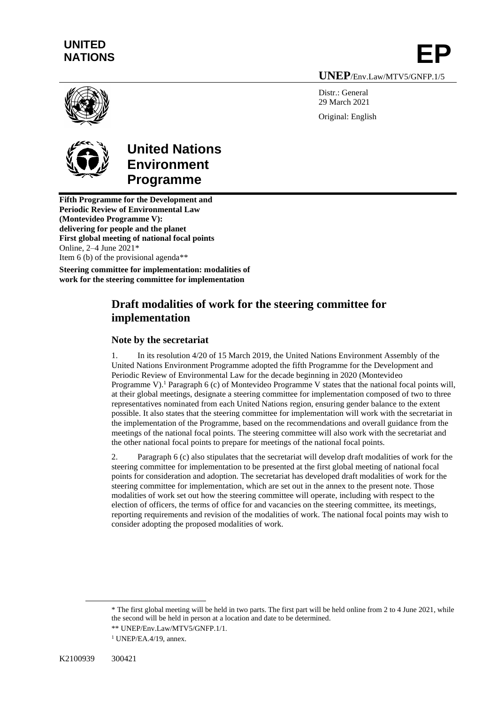# **UNITED**  UNITED<br>NATIONS **EP**

**UNEP**/Env.Law/MTV5/GNFP.1/5

Distr · General 29 March 2021 Original: English



# **United Nations Environment Programme**

**Fifth Programme for the Development and Periodic Review of Environmental Law (Montevideo Programme V): delivering for people and the planet First global meeting of national focal points** Online, 2–4 June 2021\* Item 6 (b) of the provisional agenda\*\*

**Steering committee for implementation: modalities of work for the steering committee for implementation**

## **Draft modalities of work for the steering committee for implementation**

## **Note by the secretariat**

1. In its resolution 4/20 of 15 March 2019, the United Nations Environment Assembly of the United Nations Environment Programme adopted the fifth Programme for the Development and Periodic Review of Environmental Law for the decade beginning in 2020 (Montevideo Programme V).<sup>1</sup> Paragraph 6 (c) of Montevideo Programme V states that the national focal points will, at their global meetings, designate a steering committee for implementation composed of two to three representatives nominated from each United Nations region, ensuring gender balance to the extent possible. It also states that the steering committee for implementation will work with the secretariat in the implementation of the Programme, based on the recommendations and overall guidance from the meetings of the national focal points. The steering committee will also work with the secretariat and the other national focal points to prepare for meetings of the national focal points.

2. Paragraph 6 (c) also stipulates that the secretariat will develop draft modalities of work for the steering committee for implementation to be presented at the first global meeting of national focal points for consideration and adoption. The secretariat has developed draft modalities of work for the steering committee for implementation, which are set out in the annex to the present note. Those modalities of work set out how the steering committee will operate, including with respect to the election of officers, the terms of office for and vacancies on the steering committee, its meetings, reporting requirements and revision of the modalities of work. The national focal points may wish to consider adopting the proposed modalities of work.

<sup>\*</sup> The first global meeting will be held in two parts. The first part will be held online from 2 to 4 June 2021, while the second will be held in person at a location and date to be determined.

<sup>\*\*</sup> UNEP/Env.Law/MTV5/GNFP.1/1.

 $1$  UNEP/EA.4/19, annex.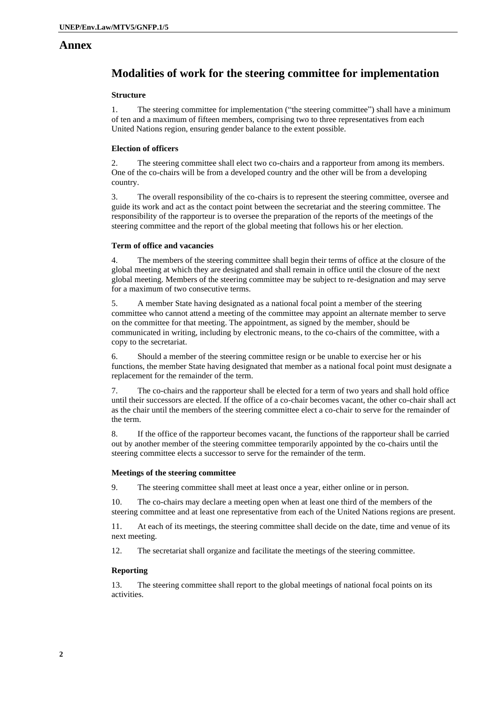### **Annex**

## **Modalities of work for the steering committee for implementation**

#### **Structure**

1. The steering committee for implementation ("the steering committee") shall have a minimum of ten and a maximum of fifteen members, comprising two to three representatives from each United Nations region, ensuring gender balance to the extent possible.

#### **Election of officers**

2. The steering committee shall elect two co-chairs and a rapporteur from among its members. One of the co-chairs will be from a developed country and the other will be from a developing country.

3. The overall responsibility of the co-chairs is to represent the steering committee, oversee and guide its work and act as the contact point between the secretariat and the steering committee. The responsibility of the rapporteur is to oversee the preparation of the reports of the meetings of the steering committee and the report of the global meeting that follows his or her election.

#### **Term of office and vacancies**

4. The members of the steering committee shall begin their terms of office at the closure of the global meeting at which they are designated and shall remain in office until the closure of the next global meeting. Members of the steering committee may be subject to re-designation and may serve for a maximum of two consecutive terms.

5. A member State having designated as a national focal point a member of the steering committee who cannot attend a meeting of the committee may appoint an alternate member to serve on the committee for that meeting. The appointment, as signed by the member, should be communicated in writing, including by electronic means, to the co-chairs of the committee, with a copy to the secretariat.

6. Should a member of the steering committee resign or be unable to exercise her or his functions, the member State having designated that member as a national focal point must designate a replacement for the remainder of the term.

7. The co-chairs and the rapporteur shall be elected for a term of two years and shall hold office until their successors are elected. If the office of a co-chair becomes vacant, the other co-chair shall act as the chair until the members of the steering committee elect a co-chair to serve for the remainder of the term.

8. If the office of the rapporteur becomes vacant, the functions of the rapporteur shall be carried out by another member of the steering committee temporarily appointed by the co-chairs until the steering committee elects a successor to serve for the remainder of the term.

#### **Meetings of the steering committee**

9. The steering committee shall meet at least once a year, either online or in person.

10. The co-chairs may declare a meeting open when at least one third of the members of the steering committee and at least one representative from each of the United Nations regions are present.

11. At each of its meetings, the steering committee shall decide on the date, time and venue of its next meeting.

12. The secretariat shall organize and facilitate the meetings of the steering committee.

#### **Reporting**

13. The steering committee shall report to the global meetings of national focal points on its activities.